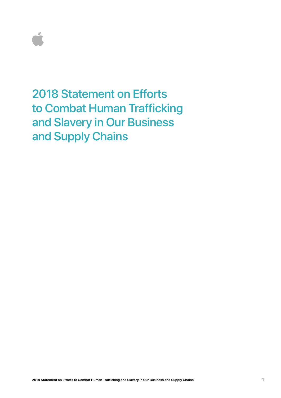

2018 Statement on Efforts to Combat Human Trafficking and Slavery in Our Business and Supply Chains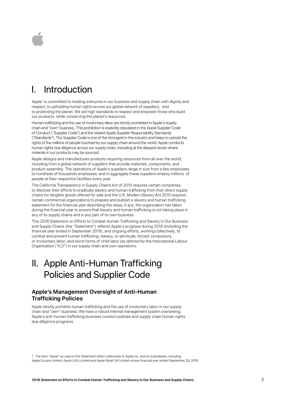# I. Introduction

Apple<sup>1</sup> is committed to treating everyone in our business and supply chain with dignity and respect, to upholding human rights across our global network of suppliers, and to protecting the planet. We set high standards to respect and empower those who build our products, while conserving the planet's resources.

Human trafficking and the use of involuntary labor are strictly prohibited in Apple's supply chain and "own" business.This prohibition is explicitly stipulated in the Apple Supplier Code of Conduct ("Supplier Code") and the related Apple Supplier Responsibility Standards ("Standards"). The Supplier Code is one of the strongest in the industry and helps to uphold the rights of the millions of people touched by our supply chain around the world. Apple conducts human rights due diligence across our supply chain, including at the deepest levels where minerals in our products may be sourced.

Apple designs and manufactures products requiring resources from all over the world, including from a global network of suppliers that provide materials, components, and product assembly. The operations of Apple's suppliers range in size from a few employees to hundreds of thousands employees, and in aggregate these suppliers employ millions of people at their respective facilities every year.

The California Transparency in Supply Chains Act of 2010 requires certain companies to disclose their efforts to eradicate slavery and human trafficking from their direct supply chains for tangible goods offered for sale and the U.K. Modern Slavery Act 2015 requires certain commercial organizations to prepare and publish a slavery and human trafficking statement for the financial year describing the steps, if any, the organization has taken during the financial year to ensure that slavery and human trafficking is not taking place in any of its supply chains and in any part of its own business.

This 2018 Statement on Efforts to Combat Human Trafficking and Slavery in Our Business and Supply Chains (the "Statement") reflects Apple's progress during 2018 (including the financial year ended in September 2018), and ongoing efforts, working collectively, to combat and prevent human trafficking, slavery, or servitude, forced, compulsory, or involuntary labor, and worst forms of child labor (as defined by the International Labour Organization ("ILO") in our supply chain and own operations.

## II. Apple Anti-Human Trafficking Policies and Supplier Code

#### **Apple's Management Oversight of Anti-Human Trafficking Policies**

Apple strictly prohibits human trafficking and the use of involuntary labor in our supply chain and "own" business. We have a robust internal management system overseeing Apple's anti-human trafficking business conduct policies and supply chain human rights due diligence programs.

Apple Europe Limited, Apple (UK) Limited and Apple Retail UK Limited whose financial year ended September 29, 2018. 1 The term "Apple" as used in this Statement refers collectively to Apple Inc. and its subsidiaries, including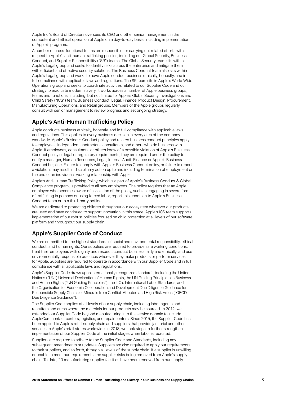Apple Inc.'s Board of Directors oversees its CEO and other senior management in the competent and ethical operation of Apple on a day-to-day basis, including implementation of Apple's programs.

A number of cross-functional teams are responsible for carrying out related efforts with respect to Apple's anti-human trafficking policies, including our Global Security, Business Conduct, and Supplier Responsibility ("SR") teams. The Global Security team sits within Apple's Legal group and seeks to identify risks across the enterprise and mitigate them with efficient and effective security solutions. The Business Conduct team also sits within Apple's Legal group and works to have Apple conduct business ethically, honestly, and in full compliance with applicable laws and regulations. The SR team sits in Apple's World Wide Operations group and seeks to coordinate activities related to our Supplier Code and our strategy to eradicate modern slavery. It works across a number of Apple business groups, teams and functions, including, but not limited to, Apple's Global Security Investigations and Child Safety ("ICS") team, Business Conduct, Legal, Finance, Product Design, Procurement, Manufacturing Operations, and Retail groups. Members of the Apple groups regularly consult with senior management to review progress and set ongoing strategy.

### **Apple's Anti-Human Trafficking Policy**

Apple conducts business ethically, honestly, and in full compliance with applicable laws and regulations. This applies to every business decision in every area of the company worldwide. Apple's Business Conduct policy and related business conduct principles apply to employees, independent contractors, consultants, and others who do business with Apple. If employees, consultants, or others know of a possible violation of Apple's Business Conduct policy or legal or regulatory requirements, they are required under the policy to notify a manager, Human Resources, Legal, Internal Audit, Finance or Apple's Business Conduct helpline. Failure to comply with Apple's Business Conduct policy, or failure to report a violation, may result in disciplinary action up to and including termination of employment or the end of an individual's working relationship with Apple.

Apple's Anti-Human Trafficking Policy, which is a part of Apple's Business Conduct & Global Compliance program, is provided to all new employees. The policy requires that an Apple employee who becomes aware of a violation of the policy, such as engaging in severe forms of trafficking in persons or using forced labor, report this condition to Apple's Business Conduct team or to a third-party hotline.

We are dedicated to protecting children throughout our ecosystem wherever our products are used and have continued to support innovation in this space. Apple's ICS team supports implementation of our robust policies focused on child protection at all levels of our software platform and throughout our supply chain.

#### **Apple's Supplier Code of Conduct**

We are committed to the highest standards of social and environmental responsibility, ethical conduct, and human rights. Our suppliers are required to provide safe working conditions, treat their employees with dignity and respect, conduct business fairly and ethically, and use environmentally responsible practices wherever they make products or perform services for Apple. Suppliers are required to operate in accordance with our Supplier Code and in full compliance with all applicable laws and regulations.

Apple's Supplier Code draws upon internationally recognized standards, including the United Nations ("UN") Universal Declaration of Human Rights, the UN Guiding Principles on Business and Human Rights ("UN Guiding Principles"), the ILO's International Labor Standards, and the Organisation for Economic Co-operation and Development Due Diligence Guidance for Responsible Supply Chains of Minerals from Conflict-Affected and High Risk Areas ("OECD Due Diligence Guidance").

The Supplier Code applies at all levels of our supply chain, including labor agents and recruiters and areas where the materials for our products may be sourced. In 2012, we extended our Supplier Code beyond manufacturing into the service domain to include AppleCare contact centers, logistics, and repair centers. Since 2015, the Supplier Code has been applied to Apple's retail supply chain and suppliers that provide janitorial and other services to Apple's retail stores worldwide. In 2018, we took steps to further strengthen implementation of our Supplier Code at the initial stages when labor is recruited.

Suppliers are required to adhere to the Supplier Code and Standards, including any subsequent amendments or updates. Suppliers are also required to apply our requirements to their suppliers, and so forth, through all levels of the supply chain. If a supplier is unwilling or unable to meet our requirements, the supplier risks being removed from Apple's supply chain. To date, 20 manufacturing supplier facilities have been removed from our supply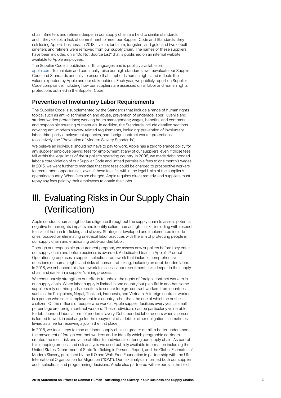chain. Smelters and refiners deeper in our supply chain are held to similar standards and if they exhibit a lack of commitment to meet our Supplier Code and Standards, they risk losing Apple's business. In 2018, five tin, tantalum, tungsten, and gold, and two cobalt smelters and refiners were removed from our supply chain. The names of these suppliers have been included on a "Do Not Source List" that is published on an internal website available to Apple employees.

The Supplier Code is published in 15 languages and is publicly available on [apple.com.](http://apple.com) To maintain and continually raise our high standards, we reevaluate our Supplier Code and Standards annually to ensure that it upholds human rights and reflects the values expected by Apple and our stakeholders. Each year, we publicly report on Supplier Code compliance, including how our suppliers are assessed on all labor and human rights protections outlined in the Supplier Code.

#### **Prevention of Involuntary Labor Requirements**

The Supplier Code is supplemented by the Standards that include a range of human rights topics, such as anti-discrimination and abuse; prevention of underage labor; juvenile and student worker protections; working hours management; wages, benefits, and contracts; and responsible sourcing of materials. In addition, the Standards include detailed sections covering anti-modern slavery-related requirements, including: prevention of involuntary labor, third-party employment agencies, and foreign contract worker protections (collectively, the "Prevention of Modern Slavery Standards").

We believe an individual should not have to pay to work. Apple has a zero tolerance policy for any supplier employee paying fees for employment at any of our suppliers, even if those fees fall within the legal limits of the supplier's operating country. In 2008, we made debt-bonded labor a core violation of our Supplier Code and limited permissible fees to one month's wages. In 2015, we went further to mandate that zero fees could be charged to prospective workers for recruitment opportunities, even if those fees fell within the legal limits of the supplier's operating country. When fees are charged, Apple requires direct remedy, and suppliers must repay any fees paid by their employees to obtain their jobs.

## III. Evaluating Risks in Our Supply Chain (Verification)

Apple conducts human rights due diligence throughout the supply chain to assess potential negative human rights impacts and identify salient human rights risks, including with respect to risks of human trafficking and slavery. Strategies developed and implemented include ones focused on eliminating unethical labor practices with the aim of protecting people in our supply chain and eradicating debt-bonded labor.

Through our responsible procurement program, we assess new suppliers before they enter our supply chain and before business is awarded. A dedicated team in Apple's Product Operations group uses a supplier selection framework that includes comprehensive questions on human rights and risks of human trafficking, including on debt-bonded labor. In 2018, we enhanced this framework to assess labor recruitment risks deeper in the supply chain and earlier in a supplier's hiring process.

We continuously strengthen our efforts to uphold the rights of foreign-contract workers in our supply chain. When labor supply is limited in one country but plentiful in another, some suppliers rely on third-party recruiters to secure foreign-contract workers from countries such as the Philippines, Nepal, Thailand, Indonesia, and Vietnam. A foreign contract worker is a person who seeks employment in a country other than the one of which he or she is a citizen. Of the millions of people who work at Apple supplier facilities every year, a small percentage are foreign contract workers. These individuals can be particularly vulnerable to debt-bonded labor, a form of modern slavery. Debt-bonded labor occurs when a person is forced to work in exchange for the repayment of a debt or other obligation—sometimes levied as a fee for receiving a job in the first place.

In 2018, we took steps to map our labor supply chain in greater detail to better understand the movement of foreign contract workers and to identify which geographic corridors created the most risk and vulnerabilities for individuals entering our supply chain. As part of this mapping process and risk analysis we used publicly available information including the United States Department of State Trafficking in Persons Report, and the Global Estimates of Modern Slavery, published by the ILO and Walk Free Foundation in partnership with the UN International Organization for Migration ("IOM"). Our risk analysis informed both our supplier audit selections and programming decisions. Apple also partnered with experts in the field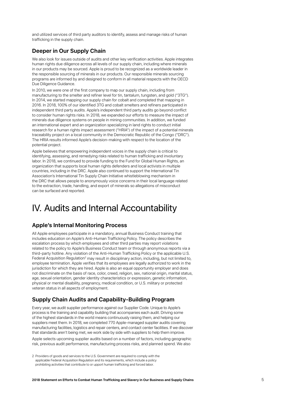and utilized services of third party auditors to identify, assess and manage risks of human trafficking in the supply chain.

#### **Deeper in Our Supply Chain**

We also look for issues outside of audits and other key verification activities. Apple integrates human rights due diligence across all levels of our supply chain, including where minerals in our products may be sourced. Apple is proud to be recognized as a worldwide leader in the responsible sourcing of minerals in our products. Our responsible minerals sourcing programs are informed by and designed to conform in all material respects with the OECD Due Diligence Guidance.

In 2010, we were one of the first company to map our supply chain, including from manufacturing to the smelter and refiner level for tin, tantalum, tungsten, and gold ("3TG"). In 2014, we started mapping our supply chain for cobalt and completed that mapping in 2016. In 2018, 100% of our identified 3TG and cobalt smelters and refiners participated in independent third party audits. Apple's independent third party audits go beyond conflict to consider human rights risks. In 2018, we expanded our efforts to measure the impact of minerals due diligence systems on people in mining communities. In addition, we funded an international expert and an organization specializing in land rights to conduct initial research for a human rights impact assessment ("HRIA") of the impact of a potential minerals traceability project on a local community in the Democratic Republic of the Congo ("DRC"). The HRIA results informed Apple's decision-making with respect to the location of the potential project.

Apple believes that empowering independent voices in the supply chain is critical to identifying, assessing, and remedying risks related to human trafficking and involuntary labor. In 2018, we continued to provide funding to the Fund for Global Human Rights, an organization that supports local human rights defenders and local activists in multiple countries, including in the DRC. Apple also continued to support the International Tin Association's International Tin Supply Chain Initiative whistleblowing mechanism in the DRC that allows people to anonymously voice concerns in their local language related to the extraction, trade, handling, and export of minerals so allegations of misconduct can be surfaced and reported.

## IV. Audits and Internal Accountability

#### **Apple's Internal Monitoring Process**

All Apple employees participate in a mandatory, annual Business Conduct training that includes education on Apple's Anti-Human Trafficking Policy. The policy describes the escalation process by which employees and other third parties may report violations related to the policy to Apple's Business Conduct team or through anonymous reports via a third-party hotline. Any violation of the Anti-Human Trafficking Policy or the applicable U.S. Federal Acquisition Regulation<sup>2</sup> may result in disciplinary action, including, but not limited to, employee termination. Apple verifies that its employees are legally authorized to work in the jurisdiction for which they are hired. Apple is also an equal opportunity employer and does not discriminate on the basis of race, color, creed, religion, sex, national origin, marital status, age, sexual orientation, gender identity characteristics or expression, genetic information, physical or mental disability, pregnancy, medical condition, or U.S. military or protected veteran status in all aspects of employment.

#### **Supply Chain Audits and Capability-Building Program**

Every year, we audit supplier performance against our Supplier Code. Unique to Apple's process is the training and capability building that accompanies each audit. Driving some of the highest standards in the world means continuously raising them, and helping our suppliers meet them. In 2018, we completed 770 Apple-managed supplier audits covering manufacturing facilities, logistics and repair centers, and contact center facilities. If we discover that standards aren't being met, we work side by side with suppliers to help them improve.

Apple selects upcoming supplier audits based on a number of factors, including geographic risk, previous audit performance, manufacturing process risks, and planned spend. We also

<sup>2</sup> Providers of goods and services to the U.S. Government are required to comply with the applicable Federal Acquisition Regulation and its requirements, which include a policy prohibiting activities that contribute to or upport human trafficking and forced labor.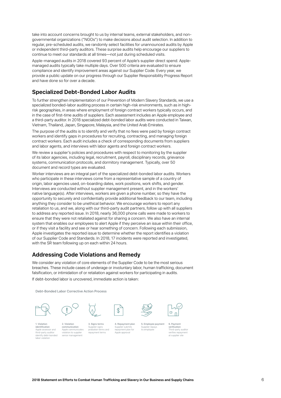take into account concerns brought to us by internal teams, external stakeholders, and nongovernmental organizations ("NGOs") to make decisions about audit selection. In addition to regular, pre-scheduled audits, we randomly select facilities for unannounced audits by Apple or independent third-party auditors. These surprise audits help encourage our suppliers to continue to meet our standards at all times—not just during scheduled visits.

Apple-managed audits in 2018 covered 93 percent of Apple's supplier direct spend. Applemanaged audits typically take multiple days. Over 500 criteria are evaluated to ensure compliance and identify improvement areas against our Supplier Code. Every year, we provide a public update on our progress through our Supplier Responsibility Progress Report and have done so for over a decade.

#### **Specialized Debt-Bonded Labor Audits**

To further strengthen implementation of our Prevention of Modern Slavery Standards, we use a specialized bonded-labor auditing process in certain high-risk environments, such as in highrisk geographies, in areas where employment of foreign contract workers typically occurs, and in the case of first-time audits of suppliers. Each assessment includes an Apple employee and a third-party auditor. In 2018 specialized debt-bonded labor audits were conducted in Taiwan, Vietnam, Thailand, Japan, Singapore, Malaysia, and the United Arab Emirates.

The purpose of the audits is to identify and verify that no fees were paid by foreign contract workers and identify gaps in procedures for recruiting, contracting, and managing foreign contract workers. Each audit includes a check of corresponding documents from suppliers and labor agents, and interviews with labor agents and foreign contract workers.

We review a supplier's policies and procedures with respect to monitoring by the supplier of its labor agencies, including legal, recruitment, payroll, disciplinary records, grievance systems, communication protocols, and dormitory management. Typically, over 50 document and record types are evaluated.

Worker interviews are an integral part of the specialized debt-bonded labor audits. Workers who participate in these interviews come from a representative sample of a country of origin, labor agencies used, on-boarding dates, work positions, work shifts, and gender. Interviews are conducted without supplier management present, and in the workers' native language(s). After interviews, workers are given a phone number, so they have the opportunity to securely and confidentially provide additional feedback to our team, including anything they consider to be unethical behavior. We encourage workers to report any retaliation to us, and we, along with our third-party audit partners, follow up with all suppliers to address any reported issue. In 2018, nearly 36,000 phone calls were made to workers to ensure that they were not retaliated against for sharing a concern. We also have an internal system that enables our employees to alert Apple if they perceive an issue within their office, or if they visit a facility and see or hear something of concern. Following each submission, Apple investigates the reported issue to determine whether the report identifies a violation of our Supplier Code and Standards. In 2018, 17 incidents were reported and investigated, with the SR team following up on each within 24 hours.

#### **Addressing Code Violations and Remedy**

We consider any violation of core elements of the Supplier Code to be the most serious breaches. These include cases of underage or involuntary labor, human trafficking, document falsification, or intimidation of or retaliation against workers for participating in audits. If debt-bonded labor is uncovered, immediate action is taken:

Debt-Bonded Labor Corrective Action Process





3. Signs terms Supplier signs

repayment terms





1. Violation identification Apple assessor and third-party auditor<br>identify debt-bonded identify debt-bonded labor violation

2. Violation communication Apple communicates violation to supplier senior management

probation terms and 4. Repayment plan Supplier submits repayment plan for Apple approval

6. Payment verification

Third-party auditor verifies repayment at supplier site

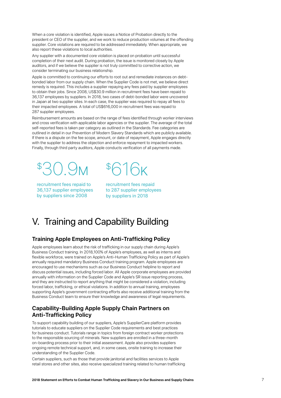When a core violation is identified, Apple issues a Notice of Probation directly to the president or CEO of the supplier, and we work to reduce production volumes at the offending supplier. Core violations are required to be addressed immediately. When appropriate, we also report these violations to local authorities.

Any supplier with a documented core violation is placed on probation until successful completion of their next audit. During probation, the issue is monitored closely by Apple auditors, and if we believe the supplier is not truly committed to corrective action, we consider terminating our business relationship.

Apple is committed to continuing our efforts to root out and remediate instances on debtbonded labor from our supply chain. When the Supplier Code is not met, we believe direct remedy is required. This includes a supplier repaying any fees paid by supplier employees to obtain their jobs. Since 2008, US\$30.9 million in recruitment fees have been repaid to 36,137 employees by suppliers. In 2018, two cases of debt-bonded labor were uncovered in Japan at two supplier sites. In each case, the supplier was required to repay all fees to their impacted employees. A total of US\$616,000 in recruitment fees was repaid to 287 supplier employees.

Reimbursement amounts are based on the range of fees identified through worker interviews and cross verification with applicable labor agencies or the supplier. The average of the total self-reported fees is taken per category as outlined in the Standards. Fee categories are outlined in detail in our Prevention of Modern Slavery Standards which are publicly available. If there is a dispute on the fee scope, amount, or date of repayment, Apple engages directly with the supplier to address the objection and enforce repayment to impacted workers. Finally, through third party auditors, Apple conducts verification of all payments made.

\$  $\bigcup$ 

recruitment fees repaid to 36,137 supplier employees by suppliers since 2008

 $$/$ 616<sup>K</sup>

recruitment fees repaid to 287 supplier employees by suppliers in 2018

# V. Training and Capability Building

### **Training Apple Employees on Anti-Trafficking Policy**

Apple employees learn about the risk of trafficking in our supply chain during Apple's Business Conduct training. In 2018,100% of Apple's employees, as well as interns and flexible workforce, were trained on Apple's Anti-Human Trafficking Policy as part of Apple's annually required mandatory Business Conduct training program. Apple employees are encouraged to use mechanisms such as our Business Conduct helpline to report and discuss potential issues, including forced labor. All Apple corporate employees are provided annually with information on the Supplier Code and Apple's SR issue reporting process, and they are instructed to report anything that might be considered a violation, including forced labor, trafficking, or ethical violations. In addition to annual training, employees supporting Apple's government contracting efforts also receive additional training from the Business Conduct team to ensure their knowledge and awareness of legal requirements.

### **Capability-Building Apple Supply Chain Partners on Anti-Trafficking Policy**

To support capability building of our suppliers, Apple's SupplierCare platform provides tutorials to educate suppliers on the Supplier Code requirements and best practices for business conduct. Tutorials range in topics from foreign contract worker protections to the responsible sourcing of minerals. New suppliers are enrolled in a three-month on-boarding process prior to their initial assessment. Apple also provides suppliers ongoing remote technical support, and, in some cases, onsite training to increase their understanding of the Supplier Code.

Certain suppliers, such as those that provide janitorial and facilities services to Apple retail stores and other sites, also receive specialized training related to human trafficking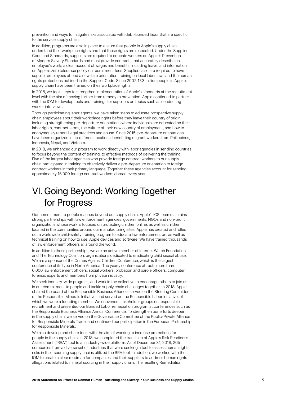prevention and ways to mitigate risks associated with debt-bonded labor that are specific to the service supply chain.

In addition, programs are also in place to ensure that people in Apple's supply chain understand their workplace rights and that those rights are respected. Under the Supplier Code and Standards, suppliers are required to educate workers on Apple's Prevention of Modern Slavery Standards and must provide contracts that accurately describe an employee's work; a clear account of wages and benefits, including leave; and information on Apple's zero tolerance policy on recruitment fees. Suppliers also are required to have supplier employees attend a new-hire orientation training on local labor laws and the human rights protections outlined in the Supplier Code. Since 2007, 17.3 million people in Apple's supply chain have been trained on their workplace rights.

In 2018, we took steps to strengthen implementation of Apple's standards at the recruitment level with the aim of moving further from remedy to prevention. Apple continued to partner with the IOM to develop tools and trainings for suppliers on topics such as conducting worker interviews.

Through participating labor agents, we have taken steps to educate prospective supply chain employees about their workplace rights before they leave their country of origin, including strengthening pre-departure orientations where individuals are educated on their labor rights, contract terms, the culture of their new country of employment, and how to anonymously report illegal practices and abuse. Since 2015, pre-departure orientations have been organized in six different locations, benefitting migrant workers from Philippines, Indonesia, Nepal, and Vietnam.

In 2018, we enhanced our program to work directly with labor agencies in sending countries to focus beyond the content of training, to effective methods of delivering the training. Five of the largest labor agencies who provide foreign contract workers to our supply chain participated in training to effectively deliver a pre-departure orientation to foreign contract workers in their primary language. Together these agencies account for sending approximately 15,000 foreign contract workers abroad every year.

## VI. Going Beyond: Working Together for Progress

Our commitment to people reaches beyond our supply chain. Apple's ICS team maintains strong partnerships with law enforcement agencies, governments, NGOs and non-profit organizations whose work is focused on protecting children online, as well as children located in the communities around our manufacturing sites. Apple has created and rolled out a worldwide child-safety training program to educate law enforcement on, as well as technical training on how to use, Apple devices and software. We have trained thousands of law enforcement officers all around the world.

In addition to these partnerships, we are an active member of Internet Watch Foundation and The Technology Coalition, organizations dedicated to eradicating child sexual abuse. We are a sponsor of the Crimes Against Children Conference, which is the largest conference of its type in North America. The yearly conference attracts more than 6,000 law enforcement officers, social workers, probation and parole officers, computer forensic experts and members from private industry.

We seek industry-wide progress, and work in the collective to encourage others to join us in our commitment to people and tackle supply chain challenges together. In 2018, Apple chaired the board of the Responsible Business Alliance; served on the Steering Committee of the Responsible Minerals Initiative; and served on the Responsible Labor Initiative, of which we were a founding member. We convened stakeholder groups on responsible recruitment and presented our Bonded Labor remediation program at conferences such as the Responsible Business Alliance Annual Conference. To strengthen our efforts deeper in the supply chain, we served on the Governance Committee of the Public-Private Alliance for Responsible Minerals Trade, and continued our participation in the European Partnership for Responsible Minerals.

We also develop and share tools with the aim of working to increase protections for people in the supply chain. In 2018, we completed the transition of Apple's Risk Readiness Assessment ("RRA") tool to an industry-wide platform. As of December 31, 2018, 265 companies from a diverse set of industries that were seeking a tool to assess human rights risks in their sourcing supply chains utilized the RRA tool. In addition, we worked with the IOM to create a clear roadmap for companies and their suppliers to address human rights allegations related to mineral sourcing in their supply chain. The resulting Remediation